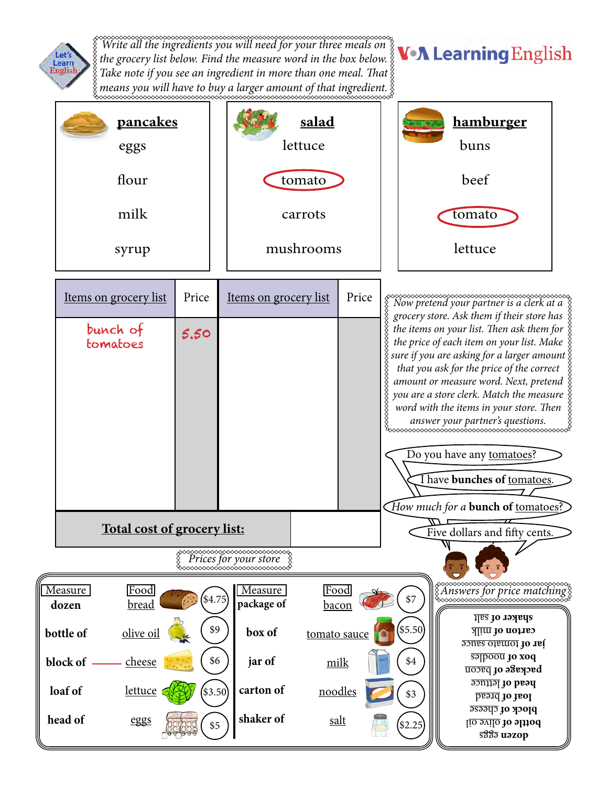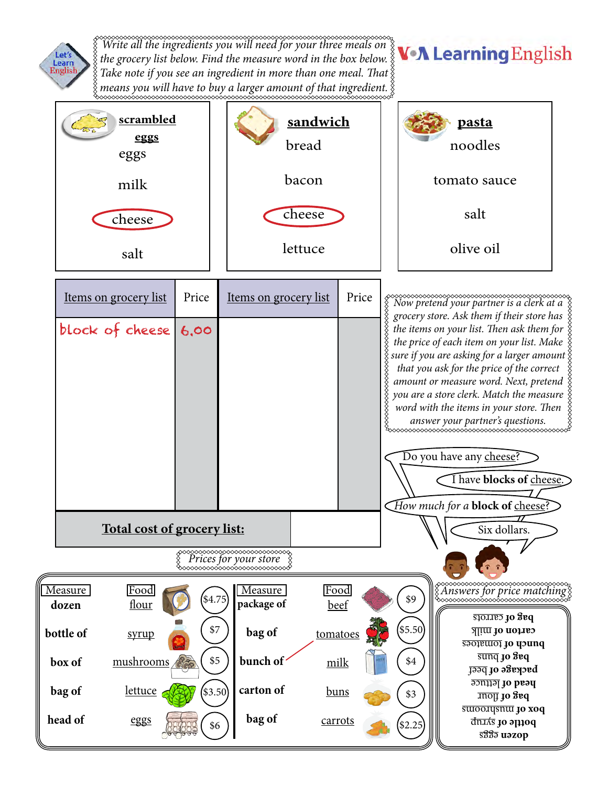